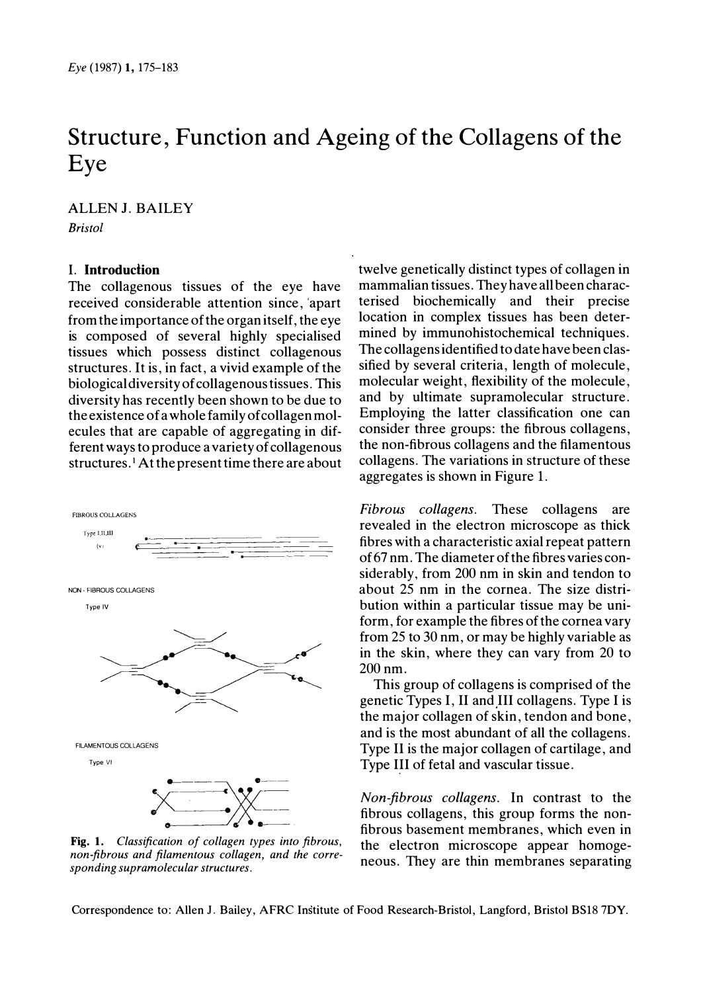# Structure, Function and Ageing of the Collagens of the Eye

**ALLEN J. BAILEY Bristol** 

# **I.** Introduction

The collagenous tissues of the eye have received considerable attention since, apart from the importance of the organitself, the eye is composed of several highly specialised tissues which possess distinct collagenous structures. It is, in fact, a vivid example of the biological diversity of collagenous tissues. This diversity has recently been shown to be due to the existence of a whole family of collagen molecules that are capable of aggregating in different ways to produce a variety of collagenous structures.<sup>1</sup> At the present time there are about



Fig. 1. Classification of collagen types into fibrous, non-fibrous and filamentous collagen, and the corresponding supramolecular structures.

twelve genetically distinct types of collagen in mammalian tissues. They have all been characterised biochemically and their precise location in complex tissues has been determined by immunohistochemical techniques. The collagens identified to date have been classified by several criteria, length of molecule, molecular weight, flexibility of the molecule, and by ultimate supramolecular structure. Employing the latter classification one can consider three groups: the fibrous collagens, the non-fibrous collagens and the filamentous collagens. The variations in structure of these aggregates is shown in Figure 1.

*Fibrous collagens.* These collagens are revealed in the electron microscope as thick fibres with a characteristic axial repeat pattern of 67 nm. The diameter of the fibres varies considerably, from 200 nm in skin and tendon to about 25 nm in the cornea. The size distribution within a particular tissue may be uniform, for example the fibres of the cornea vary from 25 to 30 nm, or may be highly variable as in the skin, where they can vary from 20 to  $200 \text{ nm}$ 

This group of collagens is comprised of the genetic Types I, II and III collagens. Type I is the major collagen of skin, tendon and bone, and is the most abundant of all the collagens. Type II is the major collagen of cartilage, and Type III of fetal and vascular tissue.

Non-fibrous collagens. In contrast to the fibrous collagens, this group forms the nonfibrous basement membranes, which even in the electron microscope appear homogeneous. They are thin membranes separating

Correspondence to: Allen J. Bailey, AFRC Institute of Food Research-Bristol, Langford, Bristol BS18 7DY.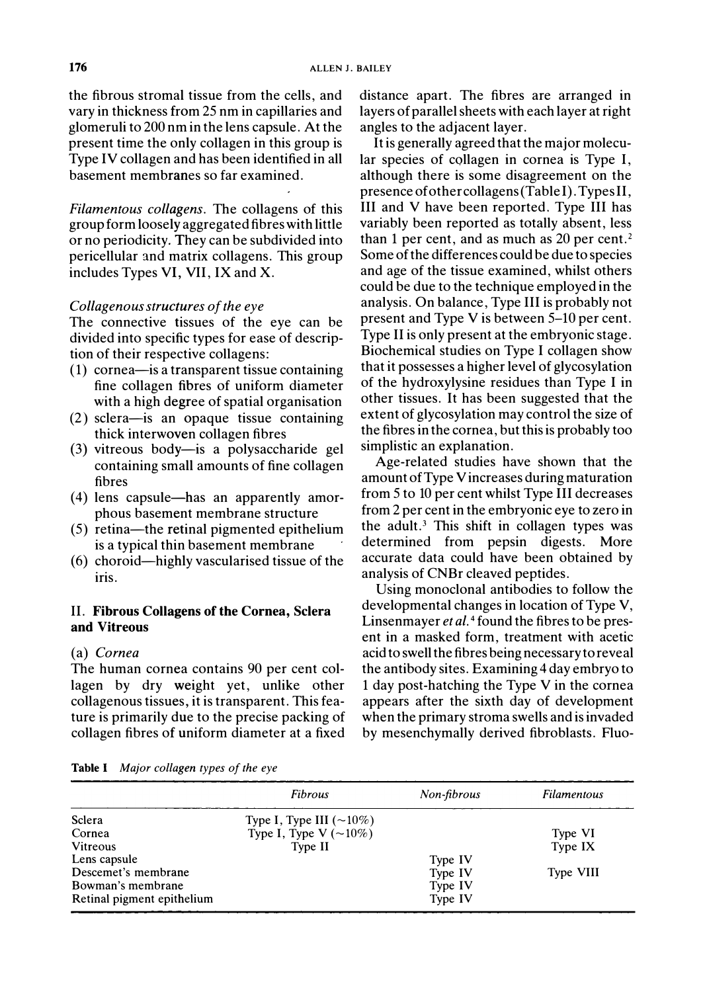the fibrous stromal tissue from the cells, and vary in thickness from 25 nm in capillaries and glomeruli to 200 nm in the lens capsule. At the present time the only collagen in this group is Type IV collagen and has been identified in all basement membranes so far examined.

Filamentous collagens. The collagens of this group form loosely aggregated fibres with little or no periodicity. They can be subdivided into pericellular and matrix collagens. This group includes Types VI, VII, IX and X.

#### Collagenous structures of the eye

The connective tissues of the eye can be divided into specific types for ease of description of their respective collagens:

- (1) cornea-is a transparent tissue containing fine collagen fibres of uniform diameter with a high degree of spatial organisation
- $(2)$  sclera-is an opaque tissue containing thick interwoven collagen fibres
- (3) vitreous body—is a polysaccharide gel containing small amounts of fine collagen fibres
- (4) lens capsule—has an apparently amorphous basement membrane structure
- (5) retina—the retinal pigmented epithelium is a typical thin basement membrane
- (6) choroid—highly vascularised tissue of the iris.

# II. Fibrous Collagens of the Cornea, Sclera and Vitreous

### (a) Cornea

The human cornea contains 90 per cent collagen by dry weight yet, unlike other collagenous tissues, it is transparent. This feature is primarily due to the precise packing of collagen fibres of uniform diameter at a fixed distance apart. The fibres are arranged in layers of parallel sheets with each layer at right angles to the adjacent layer.

It is generally agreed that the major molecular species of collagen in cornea is Type I, although there is some disagreement on the presence of other collagens (Table I). Types II. III and V have been reported. Type III has variably been reported as totally absent, less than 1 per cent, and as much as  $20$  per cent.<sup>2</sup> Some of the differences could be due to species and age of the tissue examined, whilst others could be due to the technique employed in the analysis. On balance, Type III is probably not present and Type V is between 5–10 per cent. Type II is only present at the embryonic stage. Biochemical studies on Type I collagen show that it possesses a higher level of glycosylation of the hydroxylysine residues than Type I in other tissues. It has been suggested that the extent of glycosylation may control the size of the fibres in the cornea, but this is probably too simplistic an explanation.

Age-related studies have shown that the amount of Type V increases during maturation from 5 to 10 per cent whilst Type III decreases from 2 per cent in the embryonic eye to zero in the adult.<sup>3</sup> This shift in collagen types was determined from pepsin digests. More accurate data could have been obtained by analysis of CNBr cleaved peptides.

Using monoclonal antibodies to follow the developmental changes in location of Type V, Linsenmayer et al.<sup>4</sup> found the fibres to be present in a masked form, treatment with acetic acid to swell the fibres being necessary to reveal the antibody sites. Examining 4 day embryo to 1 day post-hatching the Type V in the cornea appears after the sixth day of development when the primary stroma swells and is invaded by mesenchymally derived fibroblasts. Fluo-

|  | Table I |  |  | Major collagen types of the eye |  |  |  |  |
|--|---------|--|--|---------------------------------|--|--|--|--|
|--|---------|--|--|---------------------------------|--|--|--|--|

|                            | Fibrous                        | Non-fibrous | <b>Filamentous</b> |
|----------------------------|--------------------------------|-------------|--------------------|
| Sclera                     | Type I, Type III $(\sim 10\%)$ |             |                    |
| Cornea                     | Type I, Type V $(\sim 10\%)$   |             | Type VI            |
| Vitreous                   | Type II                        |             | Type IX            |
| Lens capsule               |                                | Type IV     |                    |
| Descemet's membrane        |                                | Type IV     | Type VIII          |
| Bowman's membrane          |                                | Type IV     |                    |
| Retinal pigment epithelium |                                | Type IV     |                    |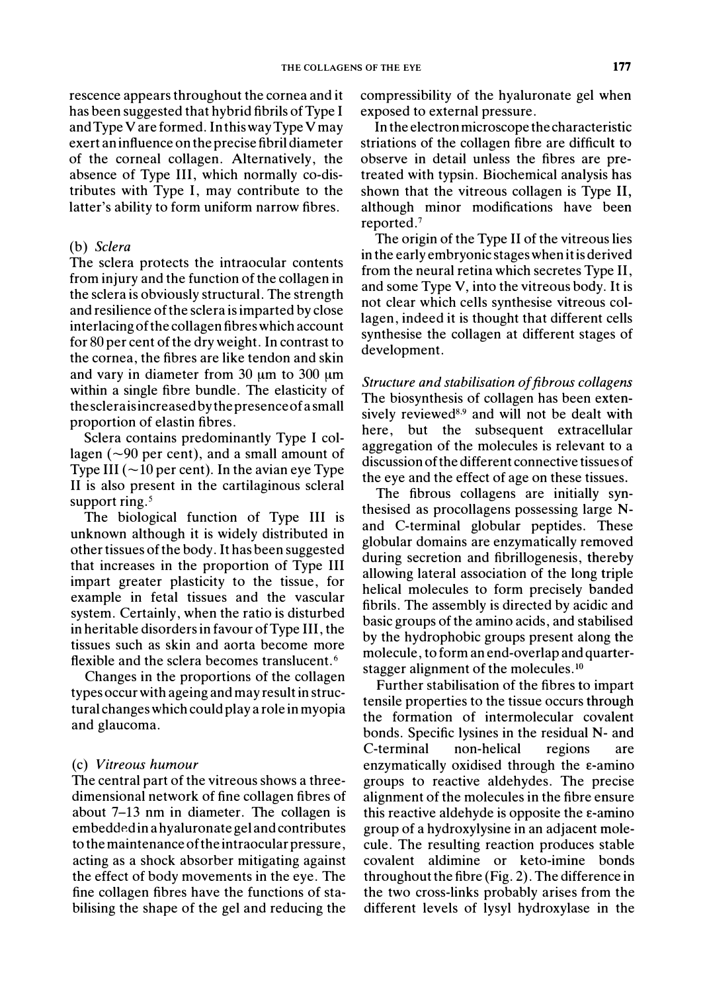rescence appears throughout the cornea and it has been suggested that hybrid fibrils of Type I and Type V are formed. In this way Type V may exert an influence on the precise fibril diameter of the corneal collagen. Alternatively, the absence of Type III, which normally co-distributes with Type I, may contribute to the latter's ability to form uniform narrow fibres.

#### (b) Sclera

The sclera protects the intraocular contents from injury and the function of the collagen in the sclera is obviously structural. The strength and resilience of the sclera is imparted by close interlacing of the collagen fibres which account for 80 per cent of the dry weight. In contrast to the cornea, the fibres are like tendon and skin and vary in diameter from  $30 \mu m$  to  $300 \mu m$ within a single fibre bundle. The elasticity of thescleraisincreased by the presence of a small proportion of elastin fibres.

Sclera contains predominantly Type I collagen ( $\sim$ 90 per cent), and a small amount of Type III ( $\sim$ 10 per cent). In the avian eye Type II is also present in the cartilaginous scleral support ring.<sup>5</sup>

The biological function of Type III is unknown although it is widely distributed in other tissues of the body. It has been suggested that increases in the proportion of Type III impart greater plasticity to the tissue, for example in fetal tissues and the vascular system. Certainly, when the ratio is disturbed in heritable disorders in favour of Type III, the tissues such as skin and aorta become more flexible and the sclera becomes translucent.<sup>6</sup>

Changes in the proportions of the collagen types occur with ageing and may result in structural changes which could play a role in myopia and glaucoma.

#### (c) Vitreous humour

The central part of the vitreous shows a threedimensional network of fine collagen fibres of about  $7-13$  nm in diameter. The collagen is embedded in a hyaluronate gel and contributes to the maintenance of the intraocular pressure, acting as a shock absorber mitigating against the effect of body movements in the eye. The fine collagen fibres have the functions of stabilising the shape of the gel and reducing the

compressibility of the hyaluronate gel when exposed to external pressure.

In the electron microscope the characteristic striations of the collagen fibre are difficult to observe in detail unless the fibres are pretreated with typsin. Biochemical analysis has shown that the vitreous collagen is Type II, although minor modifications have been reported.<sup>7</sup>

The origin of the Type II of the vitreous lies in the early embryonic stages when it is derived from the neural retina which secretes Type II, and some Type V, into the vitreous body. It is not clear which cells synthesise vitreous collagen, indeed it is thought that different cells synthesise the collagen at different stages of development.

Structure and stabilisation of fibrous collagens The biosynthesis of collagen has been extensively reviewed<sup>8,9</sup> and will not be dealt with here, but the subsequent extracellular aggregation of the molecules is relevant to a discussion of the different connective tissues of the eye and the effect of age on these tissues.

The fibrous collagens are initially synthesised as procollagens possessing large Nand C-terminal globular peptides. These globular domains are enzymatically removed during secretion and fibrillogenesis, thereby allowing lateral association of the long triple helical molecules to form precisely banded fibrils. The assembly is directed by acidic and basic groups of the amino acids, and stabilised by the hydrophobic groups present along the molecule, to form an end-overlap and quarterstagger alignment of the molecules.<sup>10</sup>

Further stabilisation of the fibres to impart tensile properties to the tissue occurs through the formation of intermolecular covalent bonds. Specific lysines in the residual N- and C-terminal non-helical regions are enzymatically oxidised through the  $\varepsilon$ -amino groups to reactive aldehydes. The precise alignment of the molecules in the fibre ensure this reactive aldehyde is opposite the  $\varepsilon$ -amino group of a hydroxylysine in an adjacent molecule. The resulting reaction produces stable covalent aldimine or keto-imine bonds throughout the fibre (Fig. 2). The difference in the two cross-links probably arises from the different levels of lysyl hydroxylase in the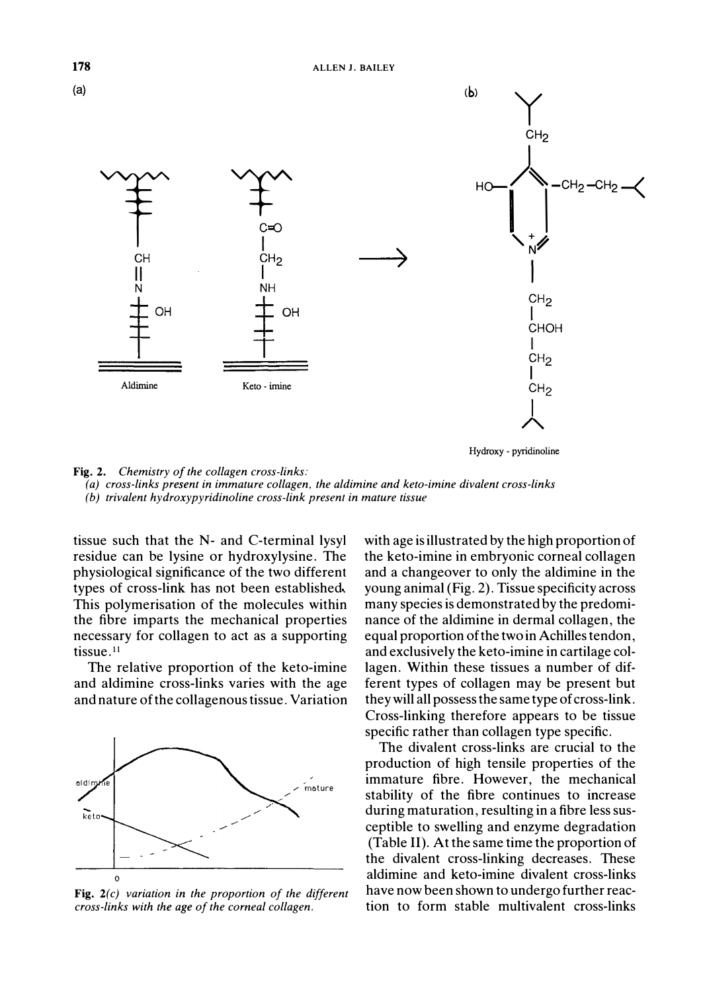



(a) cross-links present in immature collagen, the aldimine and keto-imine divalent cross-links (b) trivalent hydroxypyridinoline cross-link present in mature tissue

tissue such that the N- and C-terminal lysyl residue can be lysine or hydroxylysine. The physiological significance of the two different types of cross-link has not been established. This polymerisation of the molecules within the fibre imparts the mechanical properties necessary for collagen to act as a supporting tissue.<sup>11</sup>

The relative proportion of the keto-imine and aldimine cross-links varies with the age and nature of the collagenous tissue. Variation



Fig.  $2(c)$  variation in the proportion of the different cross-links with the age of the corneal collagen.

with age is illustrated by the high proportion of the keto-imine in embryonic corneal collagen and a change over to only the aldimine in the young animal (Fig. 2). Tissue specificity across many species is demonstrated by the predominance of the aldimine in dermal collagen, the equal proportion of the two in Achilles tendon, and exclusively the keto-imine in cartilage collagen. Within these tissues a number of different types of collagen may be present but they will all possess the same type of cross-link. Cross-linking therefore appears to be tissue specific rather than collagen type specific.

The divalent cross-links are crucial to the production of high tensile properties of the immature fibre. However, the mechanical stability of the fibre continues to increase during maturation, resulting in a fibre less susceptible to swelling and enzyme degradation (Table II). At the same time the proportion of the divalent cross-linking decreases. These aldimine and keto-imine divalent cross-links have now been shown to undergo further reaction to form stable multivalent cross-links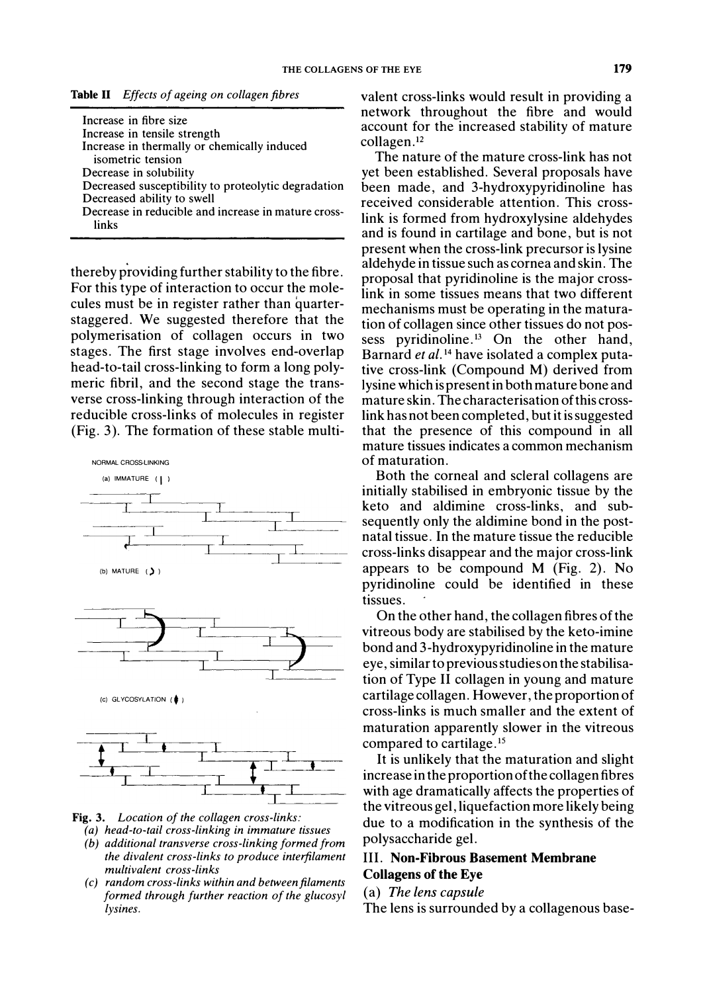Table II Effects of ageing on collagen fibres

| Increase in fibre size                              |
|-----------------------------------------------------|
| Increase in tensile strength                        |
| Increase in thermally or chemically induced         |
| isometric tension                                   |
| Decrease in solubility                              |
| Decreased susceptibility to proteolytic degradation |
| Decreased ability to swell                          |
| Decrease in reducible and increase in mature cross- |
| linke                                               |

thereby providing further stability to the fibre. For this type of interaction to occur the molecules must be in register rather than quarterstaggered. We suggested therefore that the polymerisation of collagen occurs in two stages. The first stage involves end-overlap head-to-tail cross-linking to form a long polymeric fibril, and the second stage the transverse cross-linking through interaction of the reducible cross-links of molecules in register (Fig. 3). The formation of these stable multi-



- Fig. 3. Location of the collagen cross-links:
	- (a) head-to-tail cross-linking in immature tissues
	- (b) additional transverse cross-linking formed from the divalent cross-links to produce interfilament multivalent cross-links
	- (c) random cross-links within and between filaments formed through further reaction of the glucosyl lysines.

valent cross-links would result in providing a network throughout the fibre and would account for the increased stability of mature collagen.<sup>12</sup>

The nature of the mature cross-link has not yet been established. Several proposals have been made, and 3-hydroxypyridinoline has received considerable attention. This crosslink is formed from hydroxylysine aldehydes and is found in cartilage and bone, but is not present when the cross-link precursor is lysine aldehyde in tissue such as cornea and skin. The proposal that pyridinoline is the major crosslink in some tissues means that two different mechanisms must be operating in the maturation of collagen since other tissues do not possess pyridinoline.<sup>13</sup> On the other hand, Barnard et al.<sup>14</sup> have isolated a complex putative cross-link (Compound M) derived from lysine which is present in both mature bone and mature skin. The characterisation of this crosslink has not been completed, but it is suggested that the presence of this compound in all mature tissues indicates a common mechanism of maturation

Both the corneal and scleral collagens are initially stabilised in embryonic tissue by the keto and aldimine cross-links, and subsequently only the aldimine bond in the postnatal tissue. In the mature tissue the reducible cross-links disappear and the major cross-link appears to be compound  $M$  (Fig. 2). No pyridinoline could be identified in these tissues.

On the other hand, the collagen fibres of the vitreous body are stabilised by the keto-imine bond and 3-hydroxypyridinoline in the mature eye, similar to previous studies on the stabilisation of Type II collagen in young and mature cartilage collagen. However, the proportion of cross-links is much smaller and the extent of maturation apparently slower in the vitreous compared to cartilage.<sup>15</sup>

It is unlikely that the maturation and slight increase in the proportion of the collagen fibres with age dramatically affects the properties of the vitreous gel, liquefaction more likely being due to a modification in the synthesis of the polysaccharide gel.

# **III. Non-Fibrous Basement Membrane Collagens of the Eye**

(a) The lens capsule

The lens is surrounded by a collagenous base-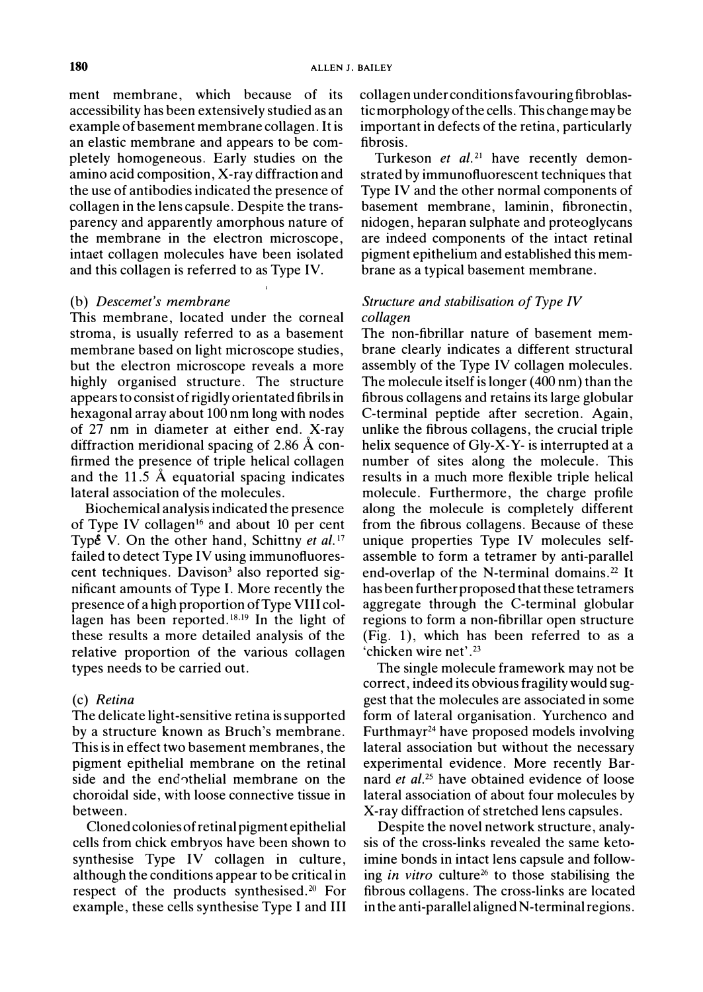ment membrane, which because of its accessibility has been extensively studied as an example of basement membrane collagen. It is an elastic membrane and appears to be completely homogeneous. Early studies on the amino acid composition, X-ray diffraction and the use of antibodies indicated the presence of collagen in the lens capsule. Despite the transparency and apparently amorphous nature of the membrane in the electron microscope, intact collagen molecules have been isolated and this collagen is referred to as Type IV.

#### (b) Descemet's membrane

This membrane, located under the corneal stroma, is usually referred to as a basement membrane based on light microscope studies, but the electron microscope reveals a more highly organised structure. The structure appears to consist of rigidly orientated fibrils in hexagonal array about 100 nm long with nodes of 27 nm in diameter at either end. X-ray diffraction meridional spacing of 2.86  $\AA$  confirmed the presence of triple helical collagen and the 11.5  $\AA$  equatorial spacing indicates lateral association of the molecules.

Biochemical analysis indicated the presence of Type IV collagen<sup>16</sup> and about 10 per cent Type V. On the other hand, Schittny et al.<sup>17</sup> failed to detect Type IV using immunofluorescent techniques. Davison<sup>3</sup> also reported significant amounts of Type I. More recently the presence of a high proportion of Type VIII collagen has been reported.<sup>18,19</sup> In the light of these results a more detailed analysis of the relative proportion of the various collagen types needs to be carried out.

#### (c) Retina

The delicate light-sensitive retina is supported by a structure known as Bruch's membrane. This is in effect two basement membranes, the pigment epithelial membrane on the retinal side and the endothelial membrane on the choroidal side, with loose connective tissue in between.

Cloned colonies of retinal pigment epithelial cells from chick embryos have been shown to synthesise Type IV collagen in culture, although the conditions appear to be critical in respect of the products synthesised.<sup>20</sup> For example, these cells synthesise Type I and III

collagen under conditions favouring fibroblastic morphology of the cells. This change may be important in defects of the retina, particularly fibrosis.

Turkeson et al.<sup>21</sup> have recently demonstrated by immunofluorescent techniques that Type IV and the other normal components of basement membrane, laminin, fibronectin, nidogen, heparan sulphate and proteoglycans are indeed components of the intact retinal pigment epithelium and established this membrane as a typical basement membrane.

# Structure and stabilisation of Type IV collagen

The non-fibrillar nature of basement membrane clearly indicates a different structural assembly of the Type IV collagen molecules. The molecule itself is longer  $(400 \text{ nm})$  than the fibrous collagens and retains its large globular C-terminal peptide after secretion. Again, unlike the fibrous collagens, the crucial triple helix sequence of Gly-X-Y- is interrupted at a number of sites along the molecule. This results in a much more flexible triple helical molecule. Furthermore, the charge profile along the molecule is completely different from the fibrous collagens. Because of these unique properties Type IV molecules selfassemble to form a tetramer by anti-parallel end-overlap of the N-terminal domains.<sup>22</sup> It has been further proposed that these tetramers aggregate through the C-terminal globular regions to form a non-fibrillar open structure (Fig. 1), which has been referred to as a 'chicken wire net'.<sup>23</sup>

The single molecule framework may not be correct, indeed its obvious fragility would suggest that the molecules are associated in some form of lateral organisation. Yurchenco and Furthmayr<sup>24</sup> have proposed models involving lateral association but without the necessary experimental evidence. More recently Barnard et al.<sup>25</sup> have obtained evidence of loose lateral association of about four molecules by X-ray diffraction of stretched lens capsules.

Despite the novel network structure, analysis of the cross-links revealed the same ketoimine bonds in intact lens capsule and following *in vitro* culture<sup>26</sup> to those stabilising the fibrous collagens. The cross-links are located in the anti-parallel aligned N-terminal regions.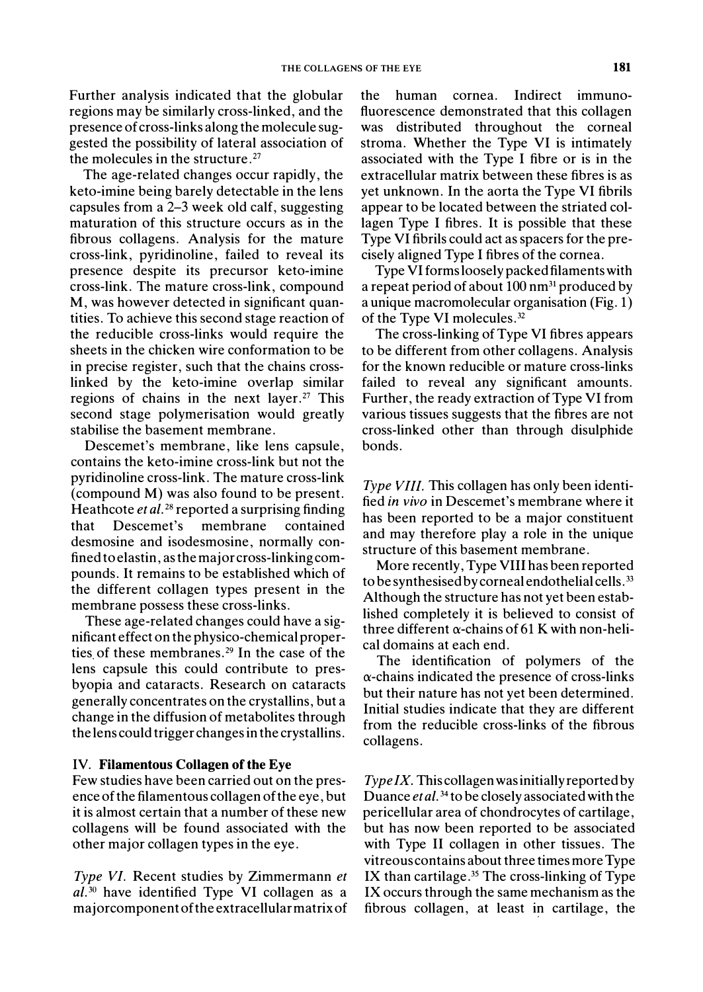Further analysis indicated that the globular regions may be similarly cross-linked, and the presence of cross-links along the molecule suggested the possibility of lateral association of the molecules in the structure.<sup>27</sup>

The age-related changes occur rapidly, the keto-imine being barely detectable in the lens capsules from a 2–3 week old calf, suggesting maturation of this structure occurs as in the fibrous collagens. Analysis for the mature cross-link, pyridinoline, failed to reveal its presence despite its precursor keto-imine cross-link. The mature cross-link, compound M, was however detected in significant quantities. To achieve this second stage reaction of the reducible cross-links would require the sheets in the chicken wire conformation to be in precise register, such that the chains crosslinked by the keto-imine overlap similar regions of chains in the next layer.<sup>27</sup> This second stage polymerisation would greatly stabilise the basement membrane.

Descemet's membrane, like lens capsule, contains the keto-imine cross-link but not the pyridinoline cross-link. The mature cross-link (compound M) was also found to be present. Heathcote et al.<sup>28</sup> reported a surprising finding Descemet's membrane that contained desmosine and isodesmosine, normally confined to elastin, as the major cross-linking compounds. It remains to be established which of the different collagen types present in the membrane possess these cross-links.

These age-related changes could have a significant effect on the physico-chemical properties of these membranes.<sup>29</sup> In the case of the lens capsule this could contribute to presbyopia and cataracts. Research on cataracts generally concentrates on the crystallins, but a change in the diffusion of metabolites through the lens could trigger changes in the crystallins.

#### IV. Filamentous Collagen of the Eye

Few studies have been carried out on the presence of the filamentous collagen of the eye, but it is almost certain that a number of these new collagens will be found associated with the other major collagen types in the eye.

Type VI. Recent studies by Zimmermann et al.<sup>30</sup> have identified Type VI collagen as a majorcomponent of the extracellular matrix of the human cornea. Indirect immunofluorescence demonstrated that this collagen was distributed throughout the corneal stroma. Whether the Type VI is intimately associated with the Type I fibre or is in the extracellular matrix between these fibres is as yet unknown. In the aorta the Type VI fibrils appear to be located between the striated collagen Type I fibres. It is possible that these Type VI fibrils could act as spacers for the precisely aligned Type I fibres of the cornea.

Type VI forms loosely packed filaments with a repeat period of about 100 nm<sup>31</sup> produced by a unique macromolecular organisation (Fig. 1) of the Type VI molecules.<sup>32</sup>

The cross-linking of Type VI fibres appears to be different from other collagens. Analysis for the known reducible or mature cross-links failed to reveal any significant amounts. Further, the ready extraction of Type VI from various tissues suggests that the fibres are not cross-linked other than through disulphide bonds.

*Type VIII.* This collagen has only been identified in vivo in Descemet's membrane where it has been reported to be a major constituent and may therefore play a role in the unique structure of this basement membrane.

More recently, Type VIII has been reported to be synthesised by corneal endothelial cells.<sup>33</sup> Although the structure has not yet been established completely it is believed to consist of three different  $\alpha$ -chains of 61 K with non-helical domains at each end.

The identification of polymers of the  $\alpha$ -chains indicated the presence of cross-links but their nature has not yet been determined. Initial studies indicate that they are different from the reducible cross-links of the fibrous collagens.

Type IX. This collagen was initially reported by Duance et al.<sup>34</sup> to be closely associated with the pericellular area of chondrocytes of cartilage, but has now been reported to be associated with Type II collagen in other tissues. The vitreous contains about three times more Type IX than cartilage. $35$  The cross-linking of Type IX occurs through the same mechanism as the fibrous collagen, at least in cartilage, the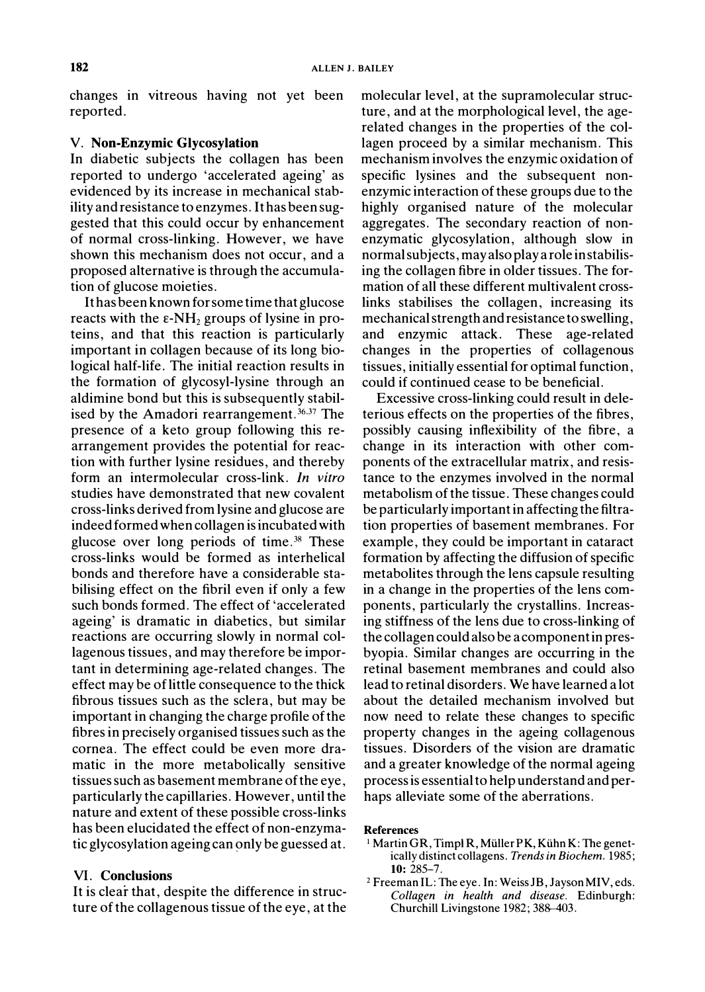changes in vitreous having not yet been reported.

## V. Non-Enzymic Glycosylation

In diabetic subjects the collagen has been reported to undergo 'accelerated ageing' as evidenced by its increase in mechanical stability and resistance to enzymes. It has been suggested that this could occur by enhancement of normal cross-linking. However, we have shown this mechanism does not occur, and a proposed alternative is through the accumulation of glucose moieties.

It has been known for some time that glucose reacts with the  $\varepsilon$ -NH<sub>2</sub> groups of lysine in proteins, and that this reaction is particularly important in collagen because of its long biological half-life. The initial reaction results in the formation of glycosyl-lysine through an aldimine bond but this is subsequently stabilised by the Amadori rearrangement.<sup>36,37</sup> The presence of a keto group following this rearrangement provides the potential for reaction with further lysine residues, and thereby form an intermolecular cross-link. In vitro studies have demonstrated that new covalent cross-links derived from lysine and glucose are indeed formed when collagen is incubated with glucose over long periods of time.<sup>38</sup> These cross-links would be formed as interhelical bonds and therefore have a considerable stabilising effect on the fibril even if only a few such bonds formed. The effect of 'accelerated ageing' is dramatic in diabetics, but similar reactions are occurring slowly in normal collagenous tissues, and may therefore be important in determining age-related changes. The effect may be of little consequence to the thick fibrous tissues such as the sclera, but may be important in changing the charge profile of the fibres in precisely organised tissues such as the cornea. The effect could be even more dramatic in the more metabolically sensitive tissues such as basement membrane of the eye, particularly the capillaries. However, until the nature and extent of these possible cross-links has been elucidated the effect of non-enzymatic glycosylation ageing can only be guessed at.

#### **VI.** Conclusions

It is clear that, despite the difference in structure of the collagenous tissue of the eye, at the molecular level, at the supramolecular structure, and at the morphological level, the agerelated changes in the properties of the collagen proceed by a similar mechanism. This mechanism involves the enzymic oxidation of specific lysines and the subsequent nonenzymic interaction of these groups due to the highly organised nature of the molecular aggregates. The secondary reaction of nonenzymatic glycosylation, although slow in normal subjects, may also play a role in stabilising the collagen fibre in older tissues. The formation of all these different multivalent crosslinks stabilises the collagen, increasing its mechanical strength and resistance to swelling, and enzymic attack. These age-related changes in the properties of collagenous tissues, initially essential for optimal function, could if continued cease to be beneficial.

Excessive cross-linking could result in deleterious effects on the properties of the fibres, possibly causing inflexibility of the fibre, a change in its interaction with other components of the extracellular matrix, and resistance to the enzymes involved in the normal metabolism of the tissue. These changes could be particularly important in affecting the filtration properties of basement membranes. For example, they could be important in cataract formation by affecting the diffusion of specific metabolites through the lens capsule resulting in a change in the properties of the lens components, particularly the crystallins. Increasing stiffness of the lens due to cross-linking of the collagen could also be a component in presbyopia. Similar changes are occurring in the retinal basement membranes and could also lead to retinal disorders. We have learned a lot about the detailed mechanism involved but now need to relate these changes to specific property changes in the ageing collagenous tissues. Disorders of the vision are dramatic and a greater knowledge of the normal ageing process is essential to help understand and perhaps alleviate some of the aberrations.

#### **References**

- <sup>1</sup> Martin GR, Timpl R, Müller PK, Kühn K: The genetically distinct collagens. Trends in Biochem. 1985;  $10:285 - 7.$
- <sup>2</sup> Freeman IL: The eye. In: Weiss JB, Jayson MIV, eds. Collagen in health and disease. Edinburgh: Churchill Livingstone 1982; 388-403.